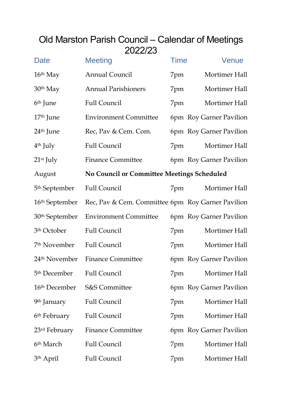# Old Marston Parish Council – Calendar of Meetings 2022/23

| Date                       | <b>Meeting</b>                                    | <b>Time</b> | Venue                   |
|----------------------------|---------------------------------------------------|-------------|-------------------------|
| $16th$ May                 | <b>Annual Council</b>                             | 7pm         | Mortimer Hall           |
| 30th May                   | <b>Annual Parishioners</b>                        | 7pm         | Mortimer Hall           |
| 6 <sup>th</sup> June       | <b>Full Council</b>                               | 7pm         | Mortimer Hall           |
| 17 <sup>th</sup> June      | <b>Environment Committee</b>                      |             | 6pm Roy Garner Pavilion |
| 24 <sup>th</sup> June      | Rec, Pav & Cem. Com.                              |             | 6pm Roy Garner Pavilion |
| $4th$ July                 | <b>Full Council</b>                               | 7pm         | Mortimer Hall           |
| $21st$ July                | <b>Finance Committee</b>                          |             | 6pm Roy Garner Pavilion |
| August                     | No Council or Committee Meetings Scheduled        |             |                         |
| 5 <sup>th</sup> September  | <b>Full Council</b>                               | 7pm         | Mortimer Hall           |
| 16 <sup>th</sup> September | Rec, Pav & Cem. Committee 6pm Roy Garner Pavilion |             |                         |
| 30 <sup>th</sup> September | <b>Environment Committee</b>                      |             | 6pm Roy Garner Pavilion |
| 3 <sup>th</sup> October    | <b>Full Council</b>                               | 7pm         | Mortimer Hall           |
| 7 <sup>th</sup> November   | <b>Full Council</b>                               | 7pm         | Mortimer Hall           |
| 24 <sup>th</sup> November  | <b>Finance Committee</b>                          |             | 6pm Roy Garner Pavilion |
| 5 <sup>th</sup> December   | <b>Full Council</b>                               | 7pm         | Mortimer Hall           |
| 16 <sup>th</sup> December  | <b>S&amp;S Committee</b>                          |             | 6pm Roy Garner Pavilion |
| 9 <sup>th</sup> January    | <b>Full Council</b>                               | 7pm         | Mortimer Hall           |
| 6 <sup>th</sup> February   | <b>Full Council</b>                               | 7pm         | Mortimer Hall           |
| 23rd February              | <b>Finance Committee</b>                          |             | 6pm Roy Garner Pavilion |
| 6 <sup>th</sup> March      | <b>Full Council</b>                               | 7pm         | Mortimer Hall           |
| 3 <sup>th</sup> April      | <b>Full Council</b>                               | 7pm         | Mortimer Hall           |